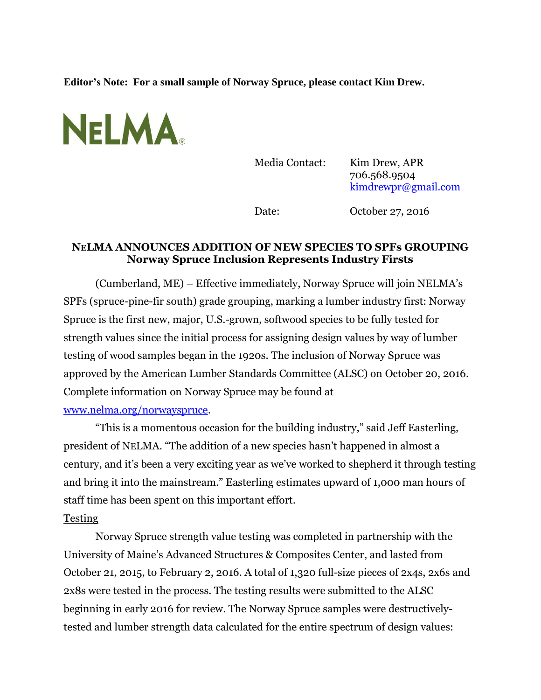**Editor's Note: For a small sample of Norway Spruce, please contact Kim Drew.** 



Media Contact: Kim Drew, APR 706.568.9504 [kimdrewpr@gmail.com](mailto:kimdrewpr@gmail.com)

Date: October 27, 2016

## **NELMA ANNOUNCES ADDITION OF NEW SPECIES TO SPFs GROUPING Norway Spruce Inclusion Represents Industry Firsts**

(Cumberland, ME) – Effective immediately, Norway Spruce will join NELMA's SPFs (spruce-pine-fir south) grade grouping, marking a lumber industry first: Norway Spruce is the first new, major, U.S.-grown, softwood species to be fully tested for strength values since the initial process for assigning design values by way of lumber testing of wood samples began in the 1920s. The inclusion of Norway Spruce was approved by the American Lumber Standards Committee (ALSC) on October 20, 2016. Complete information on Norway Spruce may be found at [www.nelma.org/norwayspruce.](http://www.nelma.org/norwayspruce)

"This is a momentous occasion for the building industry," said Jeff Easterling, president of NELMA. "The addition of a new species hasn't happened in almost a century, and it's been a very exciting year as we've worked to shepherd it through testing and bring it into the mainstream." Easterling estimates upward of 1,000 man hours of staff time has been spent on this important effort.

## Testing

Norway Spruce strength value testing was completed in partnership with the University of Maine's Advanced Structures & Composites Center, and lasted from October 21, 2015, to February 2, 2016. A total of 1,320 full-size pieces of 2x4s, 2x6s and 2x8s were tested in the process. The testing results were submitted to the ALSC beginning in early 2016 for review. The Norway Spruce samples were destructivelytested and lumber strength data calculated for the entire spectrum of design values: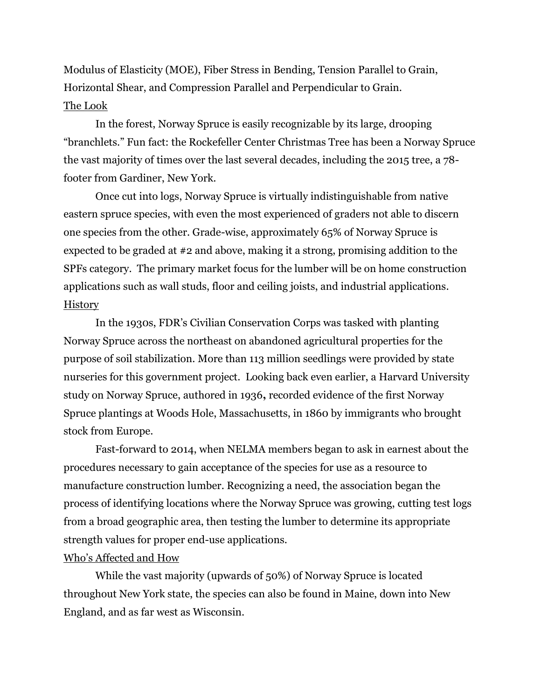Modulus of Elasticity (MOE), Fiber Stress in Bending, Tension Parallel to Grain, Horizontal Shear, and Compression Parallel and Perpendicular to Grain. The Look

In the forest, Norway Spruce is easily recognizable by its large, drooping "branchlets." Fun fact: the Rockefeller Center Christmas Tree has been a Norway Spruce the vast majority of times over the last several decades, including the 2015 tree, a 78 footer from Gardiner, New York.

Once cut into logs, Norway Spruce is virtually indistinguishable from native eastern spruce species, with even the most experienced of graders not able to discern one species from the other. Grade-wise, approximately 65% of Norway Spruce is expected to be graded at #2 and above, making it a strong, promising addition to the SPFs category. The primary market focus for the lumber will be on home construction applications such as wall studs, floor and ceiling joists, and industrial applications. **History** 

In the 1930s, FDR's Civilian Conservation Corps was tasked with planting Norway Spruce across the northeast on abandoned agricultural properties for the purpose of soil stabilization. More than 113 million seedlings were provided by state nurseries for this government project. Looking back even earlier, a Harvard University study on Norway Spruce, authored in 1936**,** recorded evidence of the first Norway Spruce plantings at Woods Hole, Massachusetts, in 1860 by immigrants who brought stock from Europe.

Fast-forward to 2014, when NELMA members began to ask in earnest about the procedures necessary to gain acceptance of the species for use as a resource to manufacture construction lumber. Recognizing a need, the association began the process of identifying locations where the Norway Spruce was growing, cutting test logs from a broad geographic area, then testing the lumber to determine its appropriate strength values for proper end-use applications.

### Who's Affected and How

While the vast majority (upwards of 50%) of Norway Spruce is located throughout New York state, the species can also be found in Maine, down into New England, and as far west as Wisconsin.